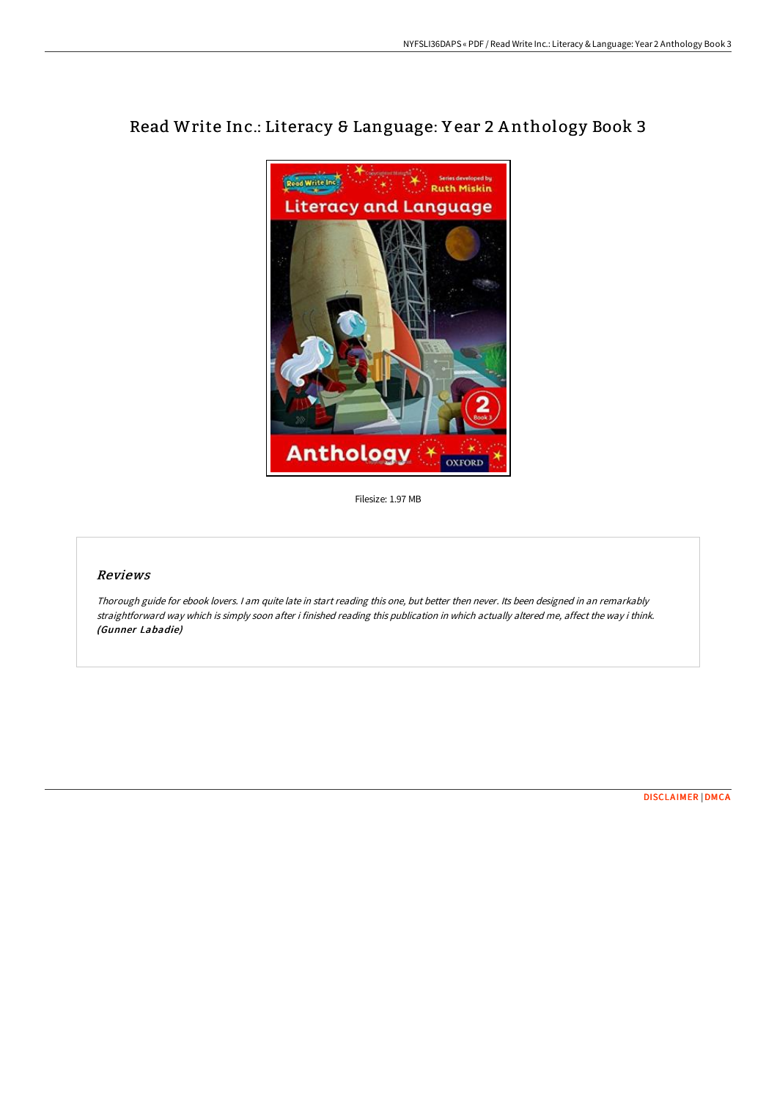

# Read Write Inc.: Literacy & Language: Y ear 2 A nthology Book 3

Filesize: 1.97 MB

#### Reviews

Thorough guide for ebook lovers. <sup>I</sup> am quite late in start reading this one, but better then never. Its been designed in an remarkably straightforward way which is simply soon after i finished reading this publication in which actually altered me, affect the way i think. (Gunner Labadie)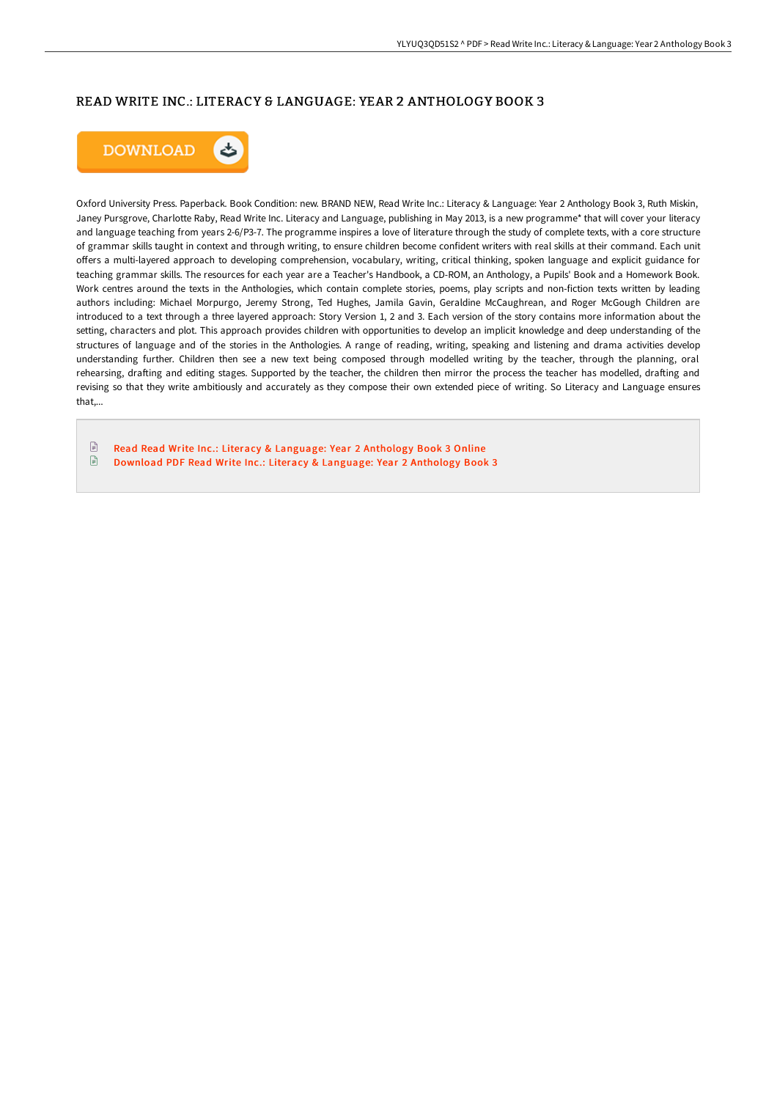## READ WRITE INC.: LITERACY & LANGUAGE: YEAR 2 ANTHOLOGY BOOK 3



Oxford University Press. Paperback. Book Condition: new. BRAND NEW, Read Write Inc.: Literacy & Language: Year 2 Anthology Book 3, Ruth Miskin, Janey Pursgrove, Charlotte Raby, Read Write Inc. Literacy and Language, publishing in May 2013, is a new programme\* that will cover your literacy and language teaching from years 2-6/P3-7. The programme inspires a love of literature through the study of complete texts, with a core structure of grammar skills taught in context and through writing, to ensure children become confident writers with real skills at their command. Each unit offers a multi-layered approach to developing comprehension, vocabulary, writing, critical thinking, spoken language and explicit guidance for teaching grammar skills. The resources for each year are a Teacher's Handbook, a CD-ROM, an Anthology, a Pupils' Book and a Homework Book. Work centres around the texts in the Anthologies, which contain complete stories, poems, play scripts and non-fiction texts written by leading authors including: Michael Morpurgo, Jeremy Strong, Ted Hughes, Jamila Gavin, Geraldine McCaughrean, and Roger McGough Children are introduced to a text through a three layered approach: Story Version 1, 2 and 3. Each version of the story contains more information about the setting, characters and plot. This approach provides children with opportunities to develop an implicit knowledge and deep understanding of the structures of language and of the stories in the Anthologies. A range of reading, writing, speaking and listening and drama activities develop understanding further. Children then see a new text being composed through modelled writing by the teacher, through the planning, oral rehearsing, drafting and editing stages. Supported by the teacher, the children then mirror the process the teacher has modelled, drafting and revising so that they write ambitiously and accurately as they compose their own extended piece of writing. So Literacy and Language ensures that,...

 $\textcolor{red}{\textcolor{blue}{\boldsymbol{\mathsf{D}}}}$ Read Read Write Inc.: Literacy & [Language:](http://digilib.live/read-write-inc-literacy-amp-language-year-2-anth-2.html) Year 2 Anthology Book 3 Online  $\Box$ Download PDF Read Write Inc.: Literacy & [Language:](http://digilib.live/read-write-inc-literacy-amp-language-year-2-anth-2.html) Year 2 Anthology Book 3